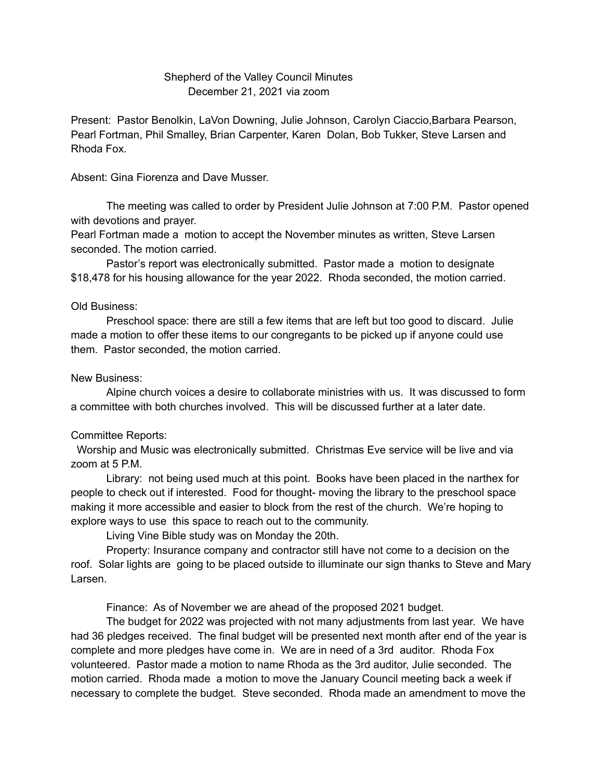## Shepherd of the Valley Council Minutes December 21, 2021 via zoom

Present: Pastor Benolkin, LaVon Downing, Julie Johnson, Carolyn Ciaccio,Barbara Pearson, Pearl Fortman, Phil Smalley, Brian Carpenter, Karen Dolan, Bob Tukker, Steve Larsen and Rhoda Fox.

Absent: Gina Fiorenza and Dave Musser.

The meeting was called to order by President Julie Johnson at 7:00 P.M. Pastor opened with devotions and prayer.

Pearl Fortman made a motion to accept the November minutes as written, Steve Larsen seconded. The motion carried.

Pastor's report was electronically submitted. Pastor made a motion to designate \$18,478 for his housing allowance for the year 2022. Rhoda seconded, the motion carried.

## Old Business:

Preschool space: there are still a few items that are left but too good to discard. Julie made a motion to offer these items to our congregants to be picked up if anyone could use them. Pastor seconded, the motion carried.

## New Business:

Alpine church voices a desire to collaborate ministries with us. It was discussed to form a committee with both churches involved. This will be discussed further at a later date.

## Committee Reports:

Worship and Music was electronically submitted. Christmas Eve service will be live and via zoom at 5 P.M.

Library: not being used much at this point. Books have been placed in the narthex for people to check out if interested. Food for thought- moving the library to the preschool space making it more accessible and easier to block from the rest of the church. We're hoping to explore ways to use this space to reach out to the community.

Living Vine Bible study was on Monday the 20th.

Property: Insurance company and contractor still have not come to a decision on the roof. Solar lights are going to be placed outside to illuminate our sign thanks to Steve and Mary Larsen.

Finance: As of November we are ahead of the proposed 2021 budget.

The budget for 2022 was projected with not many adjustments from last year. We have had 36 pledges received. The final budget will be presented next month after end of the year is complete and more pledges have come in. We are in need of a 3rd auditor. Rhoda Fox volunteered. Pastor made a motion to name Rhoda as the 3rd auditor, Julie seconded. The motion carried. Rhoda made a motion to move the January Council meeting back a week if necessary to complete the budget. Steve seconded. Rhoda made an amendment to move the